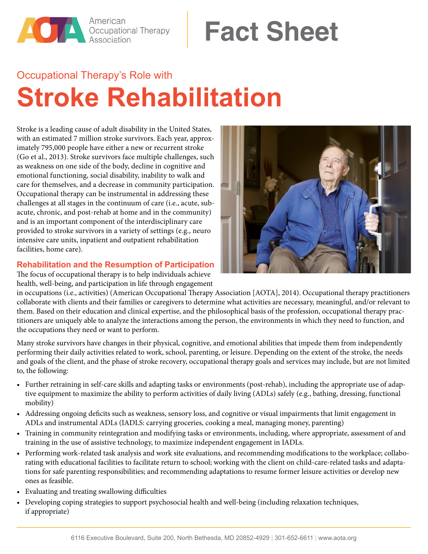

# **Fact Sheet**

# Occupational Therapy's Role with **Stroke Rehabilitation**

Stroke is a leading cause of adult disability in the United States, with an estimated 7 million stroke survivors. Each year, approximately 795,000 people have either a new or recurrent stroke (Go et al., 2013). Stroke survivors face multiple challenges, such as weakness on one side of the body, decline in cognitive and emotional functioning, social disability, inability to walk and care for themselves, and a decrease in community participation. Occupational therapy can be instrumental in addressing these challenges at all stages in the continuum of care (i.e., acute, subacute, chronic, and post-rehab at home and in the community) and is an important component of the interdisciplinary care provided to stroke survivors in a variety of settings (e.g., neuro intensive care units, inpatient and outpatient rehabilitation facilities, home care).

## **Rehabilitation and the Resumption of Participation**

The focus of occupational therapy is to help individuals achieve health, well-being, and participation in life through engagement



in occupations (i.e., activities) (American Occupational Therapy Association [AOTA], 2014). Occupational therapy practitioners collaborate with clients and their families or caregivers to determine what activities are necessary, meaningful, and/or relevant to them. Based on their education and clinical expertise, and the philosophical basis of the profession, occupational therapy practitioners are uniquely able to analyze the interactions among the person, the environments in which they need to function, and the occupations they need or want to perform.

Many stroke survivors have changes in their physical, cognitive, and emotional abilities that impede them from independently performing their daily activities related to work, school, parenting, or leisure. Depending on the extent of the stroke, the needs and goals of the client, and the phase of stroke recovery, occupational therapy goals and services may include, but are not limited to, the following:

- Further retraining in self-care skills and adapting tasks or environments (post-rehab), including the appropriate use of adaptive equipment to maximize the ability to perform activities of daily living (ADLs) safely (e.g., bathing, dressing, functional mobility)
- Addressing ongoing deficits such as weakness, sensory loss, and cognitive or visual impairments that limit engagement in ADLs and instrumental ADLs (IADLS: carrying groceries, cooking a meal, managing money, parenting)
- Training in community reintegration and modifying tasks or environments, including, where appropriate, assessment of and training in the use of assistive technology, to maximize independent engagement in IADLs.
- Performing work-related task analysis and work site evaluations, and recommending modifications to the workplace; collaborating with educational facilities to facilitate return to school; working with the client on child-care-related tasks and adaptations for safe parenting responsibilities; and recommending adaptations to resume former leisure activities or develop new ones as feasible.
- Evaluating and treating swallowing difficulties
- Developing coping strategies to support psychosocial health and well-being (including relaxation techniques, if appropriate)